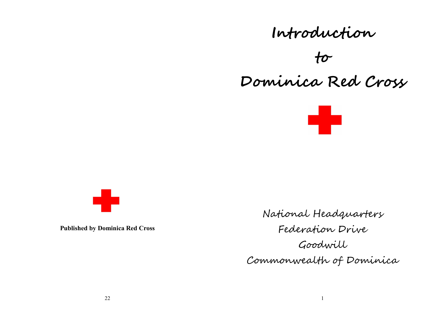# **Introduction to Dominica Red Cross**





**Published by Dominica Red Cross**

National Headquarters Federation Drive Goodwill Commonwealth of Dominica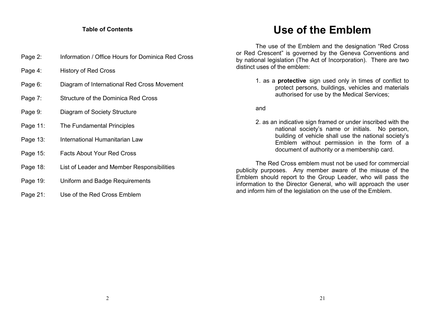#### **Table of Contents**

- Page 2: Information / Office Hours for Dominica Red Cross
- Page 4: History of Red Cross
- Page 6: Diagram of International Red Cross Movement
- Page 7: Structure of the Dominica Red Cross
- Page 9: Diagram of Society Structure
- Page 11: The Fundamental Principles
- Page 13: International Humanitarian Law
- Page 15: Facts About Your Red Cross
- Page 18: List of Leader and Member Responsibilities
- Page 19: Uniform and Badge Requirements
- Page 21: Use of the Red Cross Emblem

## **Use of the Emblem**

The use of the Emblem and the designation "Red Cross or Red Crescent" is governed by the Geneva Conventions and by national legislation (The Act of Incorporation). There are two distinct uses of the emblem:

> 1. as a **protective** sign used only in times of conflict to protect persons, buildings, vehicles and materials authorised for use by the Medical Services;

and

2. as an indicative sign framed or under inscribed with the national society's name or initials. No person, building of vehicle shall use the national society's Emblem without permission in the form of a document of authority or a membership card.

The Red Cross emblem must not be used for commercial publicity purposes. Any member aware of the misuse of the Emblem should report to the Group Leader, who will pass the information to the Director General, who will approach the user and inform him of the legislation on the use of the Emblem.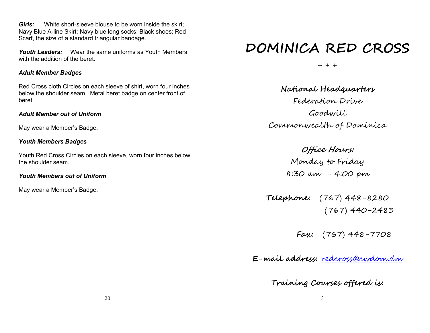*Girls:* White short-sleeve blouse to be worn inside the skirt; Navy Blue A-line Skirt; Navy blue long socks; Black shoes; Red Scarf, the size of a standard triangular bandage.

*Youth Leaders:* Wear the same uniforms as Youth Members with the addition of the beret.

#### *Adult Member Badges*

Red Cross cloth Circles on each sleeve of shirt, worn four inches below the shoulder seam. Metal beret badge on center front of beret.

#### *Adult Member out of Uniform*

May wear a Member's Badge.

#### *Youth Members Badges*

Youth Red Cross Circles on each sleeve, worn four inches below the shoulder seam.

#### *Youth Members out of Uniform*

May wear a Member's Badge.

# **DOMINICA RED CROSS**

 $+ + +$ 

**National Headquarters**  Federation Drive Goodwill Commonwealth of Dominica

> **Office Hours:**  Monday to Friday 8:30 am - 4:00 pm

**Telephone:** (767) 448-8280 (767) 440-2483

**Fax:** (767) 448-7708

**E-mail address:** redcross@cwdom.dm

**Training Courses offered is:**

3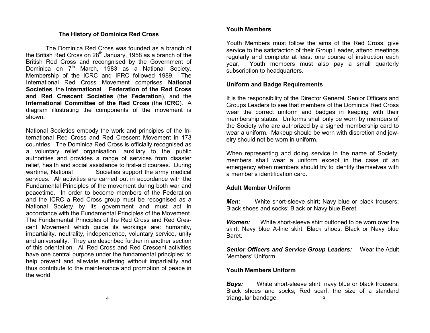#### **The History of Dominica Red Cross**

The Dominica Red Cross was founded as a branch of the British Red Cross on  $28<sup>th</sup>$  January, 1958 as a branch of the British Red Cross and recongnised by the Government of Dominica on 7<sup>th</sup> March, 1983 as a National Society. Membership of the ICRC and IFRC followed 1989. The International Red Cross Movement comprises **National Societies**, the **International Federation of the Red Cross and Red Crescent Societies** (the **Federation**), and the **International Committee of the Red Cross** (the **ICRC**). A diagram illustrating the components of the movement is shown.

National Societies embody the work and principles of the International Red Cross and Red Crescent Movement in 173 countries. The Dominica Red Cross is officially recognised as a voluntary relief organisation, auxiliary to the public authorities and provides a range of services from disaster relief, health and social assistance to first-aid courses. During wartime, National Societies support the army medical services. All activities are carried out in accordance with the Fundamental Principles of the movement during both war and peacetime. In order to become members of the Federation and the ICRC a Red Cross group must be recognised as a National Society by its government and must act in accordance with the Fundamental Principles of the Movement. The Fundamental Principles of the Red Cross and Red Crescent Movement which guide its workings are: humanity, impartiality, neutrality, independence, voluntary service, unity and universality. They are described further in another section of this orientation. All Red Cross and Red Crescent activities have one central purpose under the fundamental principles: to help prevent and alleviate suffering without impartiality and thus contribute to the maintenance and promotion of peace in the world.

#### **Youth Members**

Youth Members must follow the aims of the Red Cross, give service to the satisfaction of their Group Leader, attend meetings regularly and complete at least one course of instruction each year. Youth members must also pay a small quarterly subscription to headquarters.

#### **Uniform and Badge Requirements**

It is the responsibility of the Director General, Senior Officers and Groups Leaders to see that members of the Dominica Red Cross wear the correct uniform and badges in keeping with their membership status. Uniforms shall only be worn by members of the Society who are authorized by a signed membership card to wear a uniform. Makeup should be worn with discretion and jewelry should not be worn in uniform.

When representing and doing service in the name of Society, members shall wear a uniform except in the case of an emergency when members should try to identify themselves with a member's identification card.

#### **Adult Member Uniform**

*Men:* White short-sleeve shirt; Navy blue or black trousers; Black shoes and socks; Black or Navy blue Beret.

*Women:* White short-sleeve shirt buttoned to be worn over the skirt; Navy blue A-line skirt; Black shoes; Black or Navy blue Baret.

*Senior Officers and Service Group Leaders:* Wear the Adult Members' Uniform.

#### **Youth Members Uniform**

19 **Boys:** White short-sleeve shirt; navy blue or black trousers; Black shoes and socks; Red scarf, the size of a standard triangular bandage.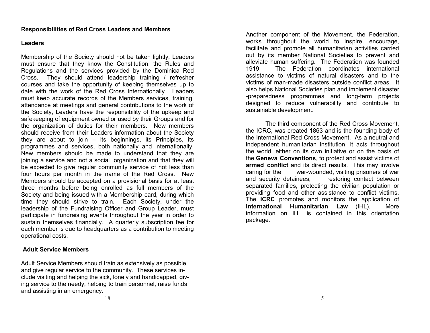#### **Leaders**

Membership of the Society should not be taken lightly, Leaders must ensure that they know the Constitution, the Rules and Regulations and the services provided by the Dominica Red Cross. They should attend leadership training / refresher courses and take the opportunity of keeping themselves up to date with the work of the Red Cross Internationally. Leaders must keep accurate records of the Members services, training, attendance at meetings and general contributions to the work of the Society, Leaders have the responsibility of the upkeep and safekeeping of equipment owned or used by their Groups and for the organization of duties for their members. New members should receive from their Leaders information about the Society they are about to join – its beginnings, its Principles, its programmes and services, both nationally and internationally. New members should be made to understand that they are joining a service and not a social organization and that they will be expected to give regular community service of not less than four hours per month in the name of the Red Cross. New Members should be accepted on a provisional basis for at least three months before being enrolled as full members of the Society and being issued with a Membership card, during which time they should strive to train. Each Society, under the leadership of the Fundraising Officer and Group Leader, must participate in fundraising events throughout the year in order to sustain themselves financially. A quarterly subscription fee for each member is due to headquarters as a contribution to meeting operational costs.

#### **Adult Service Members**

Adult Service Members should train as extensively as possible and give regular service to the community. These services include visiting and helping the sick, lonely and handicapped, giving service to the needy, helping to train personnel, raise funds and assisting in an emergency.

Another component of the Movement, the Federation, works throughout the world to inspire, encourage, facilitate and promote all humanitarian activities carried out by its member National Societies to prevent and alleviate human suffering. The Federation was founded 1919. The Federation coordinates international assistance to victims of natural disasters and to the victims of man-made disasters outside conflict areas. It also helps National Societies plan and implement disaster -preparedness programmes and long-term projects designed to reduce vulnerability and contribute to sustainable development.

The third component of the Red Cross Movement, the ICRC, was created 1863 and is the founding body of the International Red Cross Movement. As a neutral and independent humanitarian institution, it acts throughout the world, either on its own initiative or on the basis of the **Geneva Conventions**, to protect and assist victims of **armed conflict** and its direct results. This may involve caring for the war-wounded, visiting prisoners of war and security detainees. The restoring contact between separated families, protecting the civilian population or providing food and other assistance to conflict victims. The **ICRC** promotes and monitors the application of **International Humanitarian Law** (IHL). More information on IHL is contained in this orientation package.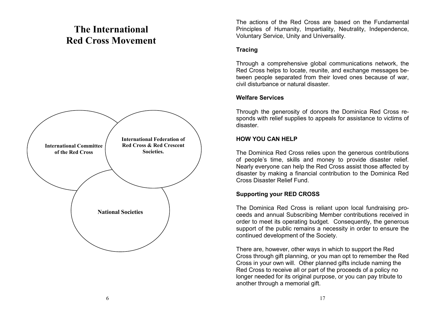### **The International Red Cross Movement**



The actions of the Red Cross are based on the Fundamental Principles of Humanity, Impartiality, Neutrality, Independence, Voluntary Service, Unity and Universality.

#### **Tracing**

Through a comprehensive global communications network, the Red Cross helps to locate, reunite, and exchange messages between people separated from their loved ones because of war, civil disturbance or natural disaster.

#### **Welfare Services**

Through the generosity of donors the Dominica Red Cross responds with relief supplies to appeals for assistance to victims of disaster.

#### **HOW YOU CAN HELP**

The Dominica Red Cross relies upon the generous contributions of people's time, skills and money to provide disaster relief. Nearly everyone can help the Red Cross assist those affected by disaster by making a financial contribution to the Dominica Red Cross Disaster Relief Fund.

#### **Supporting your RED CROSS**

The Dominica Red Cross is reliant upon local fundraising proceeds and annual Subscribing Member contributions received in order to meet its operating budget. Consequently, the generous support of the public remains a necessity in order to ensure the continued development of the Society.

There are, however, other ways in which to support the Red Cross through gift planning, or you man opt to remember the Red Cross in your own will. Other planned gifts include naming the Red Cross to receive all or part of the proceeds of a policy no longer needed for its original purpose, or you can pay tribute to another through a memorial gift.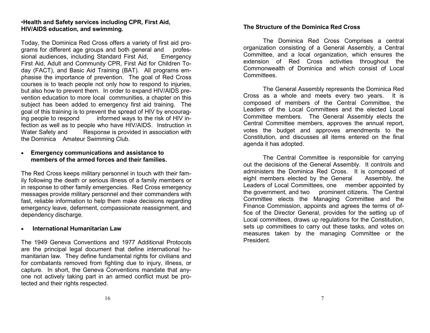#### •**Health and Safety services including CPR, First Aid, HIV/AIDS education, and swimming.**

Today, the Dominica Red Cross offers a variety of first aid programs for different age groups and both general and professional audiences, including Standard First Aid, Emergency First Aid, Adult and Community CPR, First Aid for Children Today (FACT), and Basic Aid Training (BAT). All programs emphasise the importance of prevention. The goal of Red Cross courses is to teach people not only how to respond to injuries, but also how to prevent them. In order to expand HIV/AIDS prevention education to more local communities, a chapter on this subject has been added to emergency first aid training. The goal of this training is to prevent the spread of HIV by encouraging people to respond informed ways to the risk of HIV infection as well as to people who have HIV/AIDS. Instruction in Water Safety and Response is provided in association with the Dominica Amateur Swimming Club.

#### **Emergency communications and assistance to members of the armed forces and their families.**

The Red Cross keeps military personnel in touch with their family following the death or serious illness of a family members or in response to other family emergencies. Red Cross emergency messages provide military personnel and their commanders with fast, reliable information to help them make decisions regarding emergency leave, deferment, compassionate reassignment, and dependency discharge.

#### **International Humanitarian Law**

The 1949 Geneva Conventions and 1977 Additional Protocols are the principal legal document that define international humanitarian law. They define fundamental rights for civilians and for combatants removed from fighting due to injury, illness, or capture. In short, the Geneva Conventions mandate that anyone not actively taking part in an armed conflict must be protected and their rights respected.

#### **The Structure of the Dominica Red Cross**

The Dominica Red Cross Comprises a central organization consisting of a General Assembly, a Central Committee, and a local organization, which ensures the extension of Red Cross activities throughout the Commonwealth of Dominica and which consist of Local Committees.

The General Assembly represents the Dominica Red Cross as a whole and meets every two years. It is composed of members of the Central Committee, the Leaders of the Local Committees and the elected Local Committee members. The General Assembly elects the Central Committee members, approves the annual report, votes the budget and approves amendments to the Constitution, and discusses all items entered on the final agenda it has adopted.

The Central Committee is responsible for carrying out the decisions of the General Assembly. It controls and administers the Dominica Red Cross. It is composed of eight members elected by the General Assembly, the Leaders of Local Committees, one member appointed by the government, and two prominent citizens. The Central Committee elects the Managing Committee and the Finance Commission, appoints and agrees the terms of office of the Director General, provides for the setting up of Local committees, draws up regulations for the Constitution, sets up committees to carry out these tasks, and votes on measures taken by the managing Committee or the President.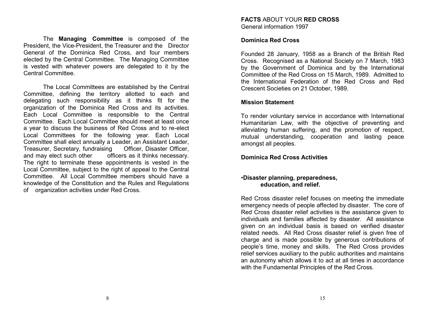The **Managing Committee** is composed of the President, the Vice-President, the Treasurer and the Director General of the Dominica Red Cross, and four members elected by the Central Committee. The Managing Committee is vested with whatever powers are delegated to it by the Central Committee.

The Local Committees are established by the Central Committee, defining the territory allotted to each and delegating such responsibility as it thinks fit for the organization of the Dominica Red Cross and its activities. Each Local Committee is responsible to the Central Committee. Each Local Committee should meet at least once a year to discuss the business of Red Cross and to re-elect Local Committees for the following year. Each Local Committee shall elect annually a Leader, an Assistant Leader, Treasurer, Secretary, fundraising Officer, Disaster Officer, and may elect such other officers as it thinks necessary. The right to terminate these appointments is vested in the Local Committee, subject to the right of appeal to the Central Committee. All Local Committee members should have a knowledge of the Constitution and the Rules and Regulations of organization activities under Red Cross.

#### **Dominica Red Cross**

Founded 28 January, 1958 as a Branch of the British Red Cross. Recognised as a National Society on 7 March, 1983 by the Government of Dominica and by the International Committee of the Red Cross on 15 March, 1989. Admitted to the International Federation of the Red Cross and Red Crescent Societies on 21 October, 1989.

#### **Mission Statement**

To render voluntary service in accordance with International Humanitarian Law, with the objective of preventing and alleviating human suffering, and the promotion of respect, mutual understanding, cooperation and lasting peace amongst all peoples.

#### **Dominica Red Cross Activities**

#### •**Disaster planning, preparedness, education, and relief.**

Red Cross disaster relief focuses on meeting the immediate emergency needs of people affected by disaster. The core of Red Cross disaster relief activities is the assistance given to individuals and families affected by disaster. All assistance given on an individual basis is based on verified disaster related needs. All Red Cross disaster relief is given free of charge and is made possible by generous contributions of people's time, money and skills. The Red Cross provides relief services auxiliary to the public authorities and maintains an autonomy which allows it to act at all times in accordance with the Fundamental Principles of the Red Cross.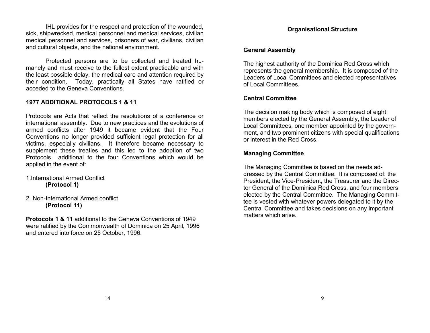IHL provides for the respect and protection of the wounded, sick, shipwrecked, medical personnel and medical services, civilian medical personnel and services, prisoners of war, civilians, civilian and cultural objects, and the national environment.

Protected persons are to be collected and treated humanely and must receive to the fullest extent practicable and with the least possible delay, the medical care and attention required by their condition. Today, practically all States have ratified or acceded to the Geneva Conventions.

#### **1977 ADDITIONAL PROTOCOLS 1 & 11**

Protocols are Acts that reflect the resolutions of a conference or international assembly. Due to new practices and the evolutions of armed conflicts after 1949 it became evident that the Four Conventions no longer provided sufficient legal protection for all victims, especially civilians. It therefore became necessary to supplement these treaties and this led to the adoption of two Protocols additional to the four Conventions which would be applied in the event of:

- 1.International Armed Conflict **(Protocol 1)**
- 2. Non-International Armed conflict **(Protocol 11)**

**Protocols 1 & 11** additional to the Geneva Conventions of 1949 were ratified by the Commonwealth of Dominica on 25 April, 1996 and entered into force on 25 October, 1996.

#### **Organisational Structure**

#### **General Assembly**

The highest authority of the Dominica Red Cross which represents the general membership. It is composed of the Leaders of Local Committees and elected representatives of Local Committees.

#### **Central Committee**

The decision making body which is composed of eight members elected by the General Assembly, the Leader of Local Committees, one member appointed by the government, and two prominent citizens with special qualifications or interest in the Red Cross.

#### **Managing Committee**

The Managing Committee is based on the needs addressed by the Central Committee. It is composed of: the President, the Vice-President, the Treasurer and the Director General of the Dominica Red Cross, and four members elected by the Central Committee. The Managing Committee is vested with whatever powers delegated to it by the Central Committee and takes decisions on any important matters which arise.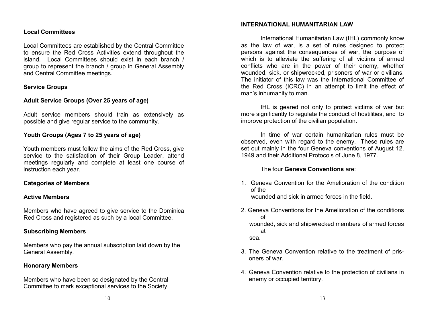#### **Local Committees**

Local Committees are established by the Central Committee to ensure the Red Cross Activities extend throughout the island. Local Committees should exist in each branch / group to represent the branch / group in General Assembly and Central Committee meetings.

#### **Service Groups**

#### **Adult Service Groups (Over 25 years of age)**

Adult service members should train as extensively as possible and give regular service to the community.

#### **Youth Groups (Ages 7 to 25 years of age)**

Youth members must follow the aims of the Red Cross, give service to the satisfaction of their Group Leader, attend meetings regularly and complete at least one course of instruction each year.

#### **Categories of Members**

#### **Active Members**

Members who have agreed to give service to the Dominica Red Cross and registered as such by a local Committee.

#### **Subscribing Members**

Members who pay the annual subscription laid down by the General Assembly.

#### **Honorary Members**

Members who have been so designated by the Central Committee to mark exceptional services to the Society.

International Humanitarian Law (IHL) commonly know as the law of war, is a set of rules designed to protect persons against the consequences of war, the purpose of which is to alleviate the suffering of all victims of armed conflicts who are in the power of their enemy, whether wounded, sick, or shipwrecked, prisoners of war or civilians. The initiator of this law was the International Committee of the Red Cross (ICRC) in an attempt to limit the effect of man's inhumanity to man.

IHL is geared not only to protect victims of war but more significantly to regulate the conduct of hostilities, and to improve protection of the civilian population.

In time of war certain humanitarian rules must be observed, even with regard to the enemy. These rules are set out mainly in the four Geneva conventions of August 12, 1949 and their Additional Protocols of June 8, 1977.

#### The four **Geneva Conventions** are:

- 1. Geneva Convention for the Amelioration of the condition of the wounded and sick in armed forces in the field.
- 2. Geneva Conventions for the Amelioration of the conditions of wounded, sick and shipwrecked members of armed forces at sea.
- 3. The Geneva Convention relative to the treatment of prisoners of war.
- 4. Geneva Convention relative to the protection of civilians in enemy or occupied territory.